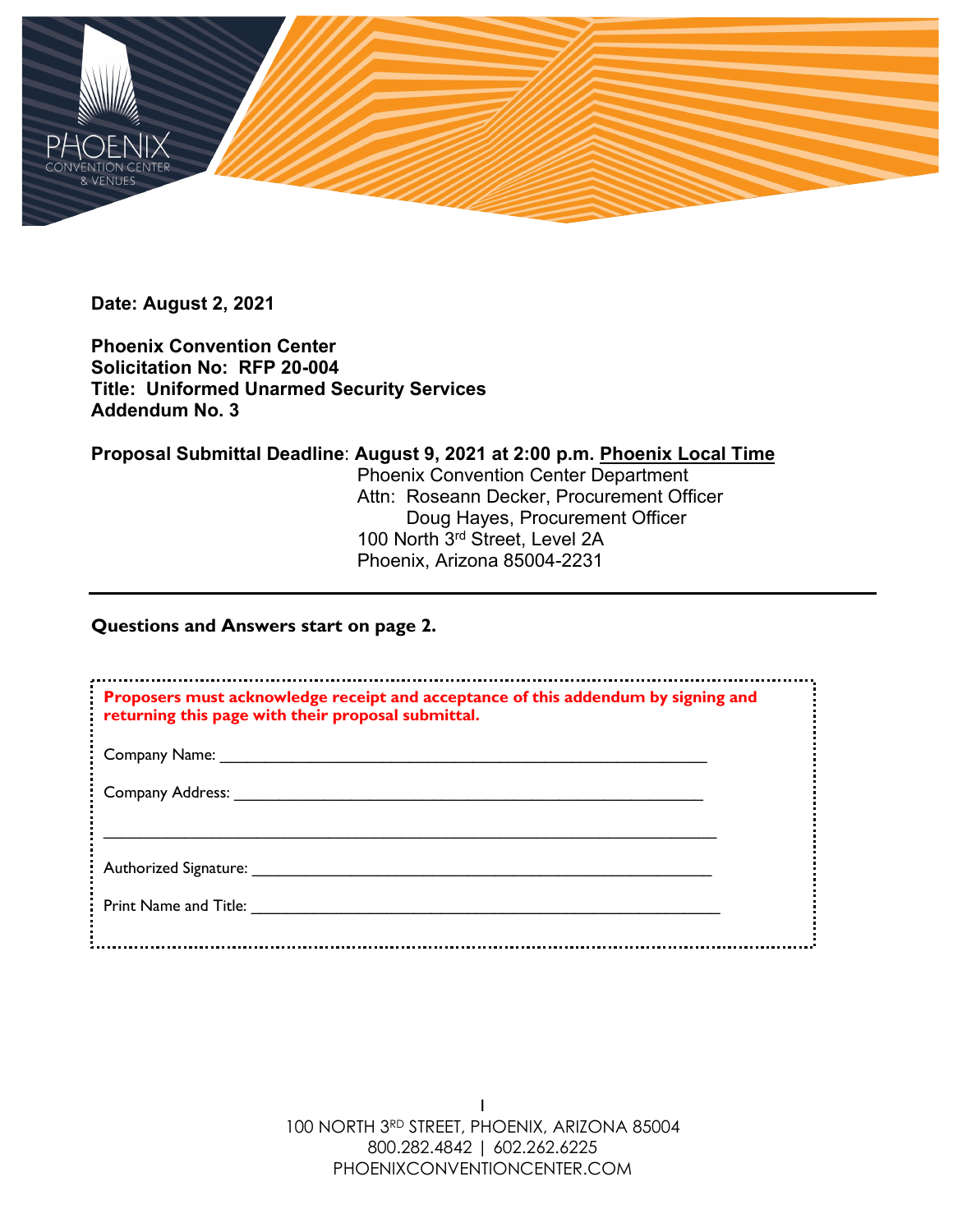

**Date: August 2, 2021**

**Phoenix Convention Center Solicitation No: RFP 20-004 Title: Uniformed Unarmed Security Services Addendum No. 3**

**Proposal Submittal Deadline**: **August 9, 2021 at 2:00 p.m. Phoenix Local Time**

Phoenix Convention Center Department Attn: Roseann Decker, Procurement Officer Doug Hayes, Procurement Officer 100 North 3rd Street, Level 2A Phoenix, Arizona 85004-2231

# **Questions and Answers start on page 2.**

| Proposers must acknowledge receipt and acceptance of this addendum by signing and<br>returning this page with their proposal submittal. |  |
|-----------------------------------------------------------------------------------------------------------------------------------------|--|
| Company Name:                                                                                                                           |  |
| <b>Company Address:</b>                                                                                                                 |  |
| Authorized Signature:                                                                                                                   |  |
| Print Name and Title:                                                                                                                   |  |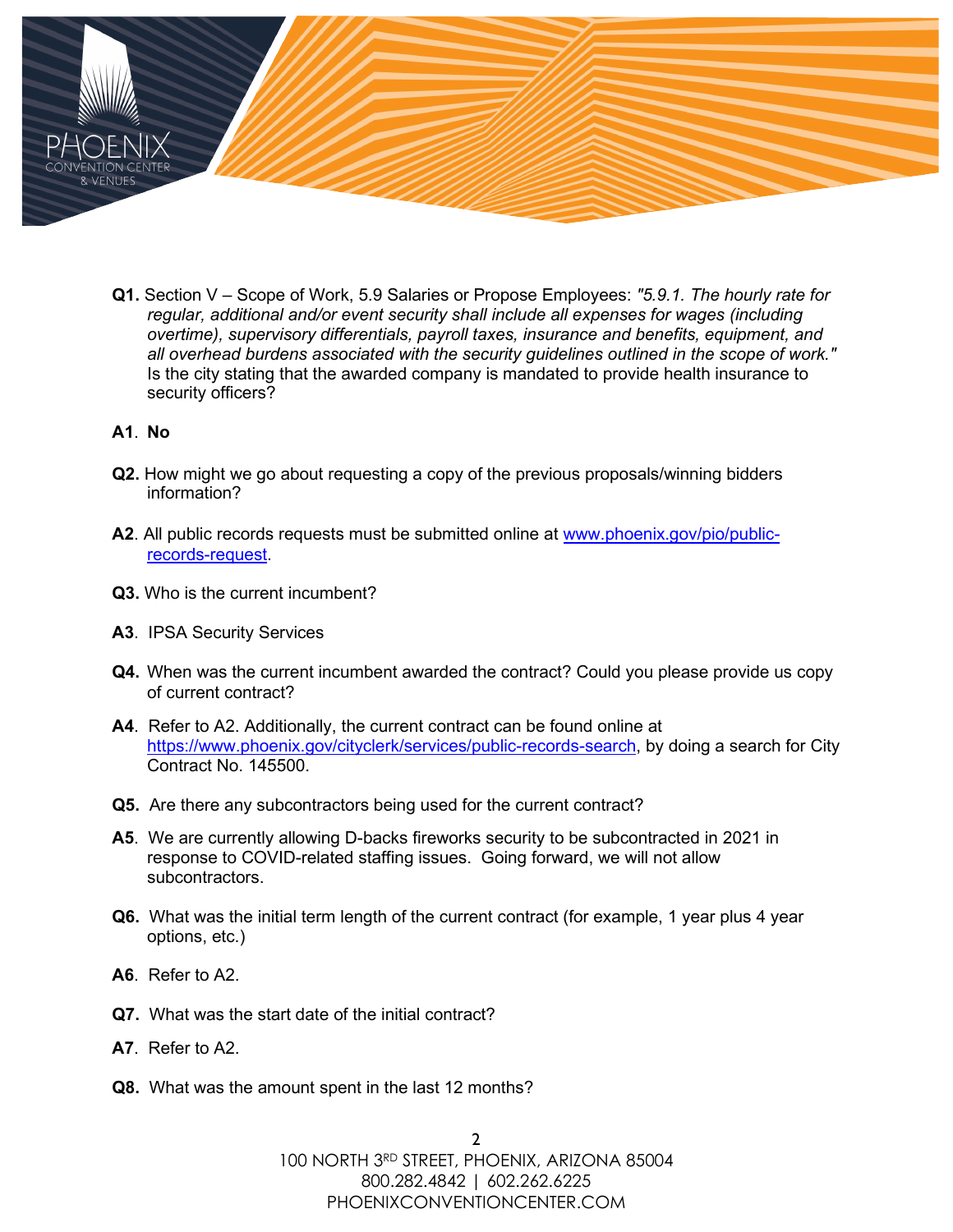

**Q1.** Section V – Scope of Work, 5.9 Salaries or Propose Employees: *"5.9.1. The hourly rate for regular, additional and/or event security shall include all expenses for wages (including overtime), supervisory differentials, payroll taxes, insurance and benefits, equipment, and all overhead burdens associated with the security guidelines outlined in the scope of work."* Is the city stating that the awarded company is mandated to provide health insurance to security officers?

## **A1**. **No**

- **Q2.** How might we go about requesting a copy of the previous proposals/winning bidders information?
- **A2**. All public records requests must be submitted online at [www.phoenix.gov/pio/public](http://www.phoenix.gov/pio/public-records-request)[records-request.](http://www.phoenix.gov/pio/public-records-request)
- **Q3.** Who is the current incumbent?
- **A3**. IPSA Security Services
- **Q4.** When was the current incumbent awarded the contract? Could you please provide us copy of current contract?
- **A4**. Refer to A2. Additionally, the current contract can be found online at [https://www.phoenix.gov/cityclerk/services/public-records-search,](https://www.phoenix.gov/cityclerk/services/public-records-search) by doing a search for City Contract No. 145500.
- **Q5.** Are there any subcontractors being used for the current contract?
- **A5**. We are currently allowing D-backs fireworks security to be subcontracted in 2021 in response to COVID-related staffing issues. Going forward, we will not allow subcontractors.
- **Q6.** What was the initial term length of the current contract (for example, 1 year plus 4 year options, etc.)
- **A6**. Refer to A2.
- **Q7.** What was the start date of the initial contract?
- **A7**. Refer to A2.
- **Q8.** What was the amount spent in the last 12 months?

2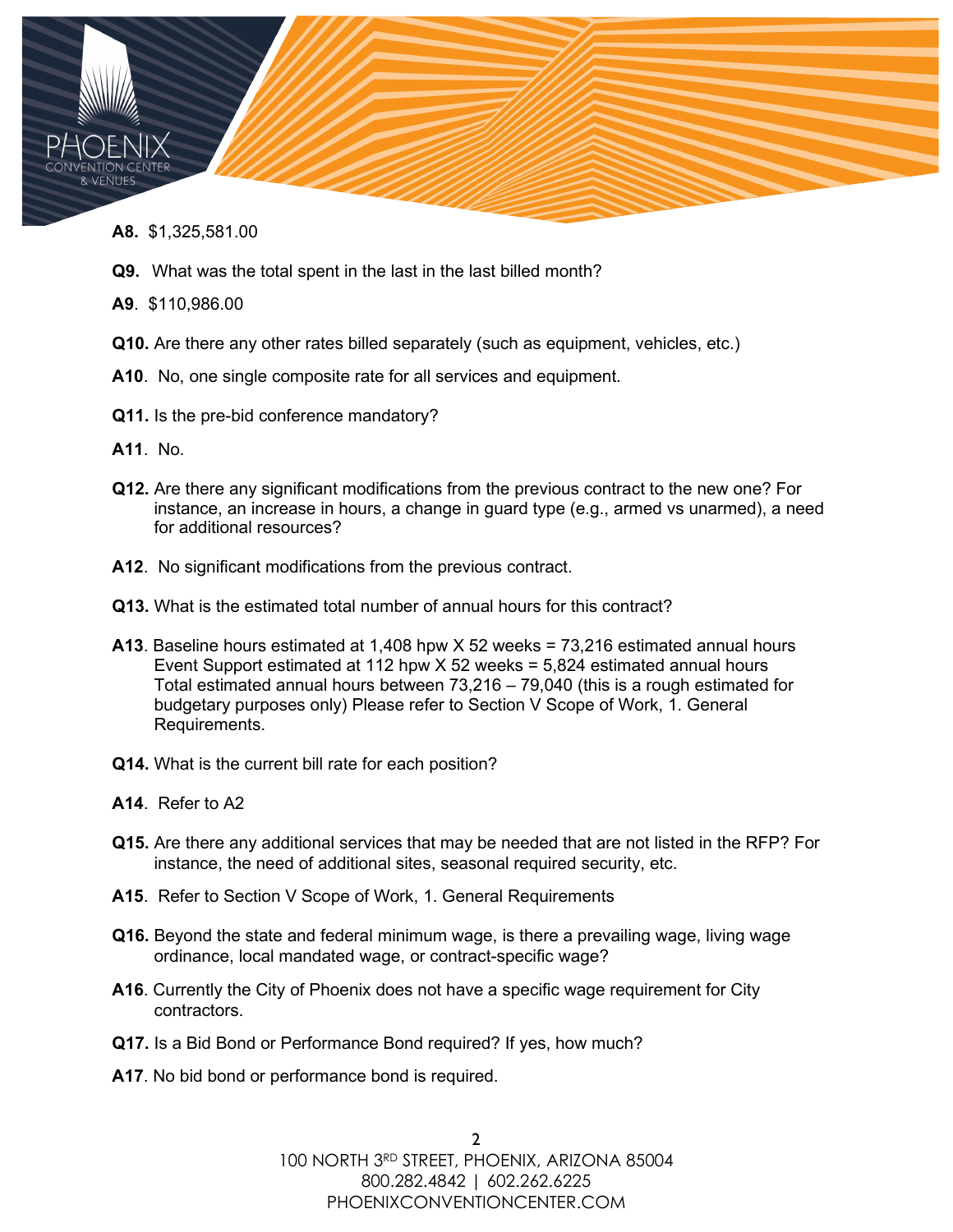- **& VENUES** 
	- **A8.** \$1,325,581.00
	- **Q9.** What was the total spent in the last in the last billed month?
	- **A9**. \$110,986.00
	- **Q10.** Are there any other rates billed separately (such as equipment, vehicles, etc.)
	- **A10**. No, one single composite rate for all services and equipment.
	- **Q11.** Is the pre-bid conference mandatory?
	- **A11**. No.
	- **Q12.** Are there any significant modifications from the previous contract to the new one? For instance, an increase in hours, a change in guard type (e.g., armed vs unarmed), a need for additional resources?
	- **A12**. No significant modifications from the previous contract.
	- **Q13.** What is the estimated total number of annual hours for this contract?
	- **A13**. Baseline hours estimated at 1,408 hpw X 52 weeks = 73,216 estimated annual hours Event Support estimated at 112 hpw X 52 weeks = 5,824 estimated annual hours Total estimated annual hours between 73,216 – 79,040 (this is a rough estimated for budgetary purposes only) Please refer to Section V Scope of Work, 1. General Requirements.
	- **Q14.** What is the current bill rate for each position?
	- **A14**. Refer to A2
	- **Q15.** Are there any additional services that may be needed that are not listed in the RFP? For instance, the need of additional sites, seasonal required security, etc.
	- **A15**. Refer to Section V Scope of Work, 1. General Requirements
	- **Q16.** Beyond the state and federal minimum wage, is there a prevailing wage, living wage ordinance, local mandated wage, or contract-specific wage?
	- **A16**. Currently the City of Phoenix does not have a specific wage requirement for City contractors.
	- **Q17.** Is a Bid Bond or Performance Bond required? If yes, how much?
	- **A17**. No bid bond or performance bond is required.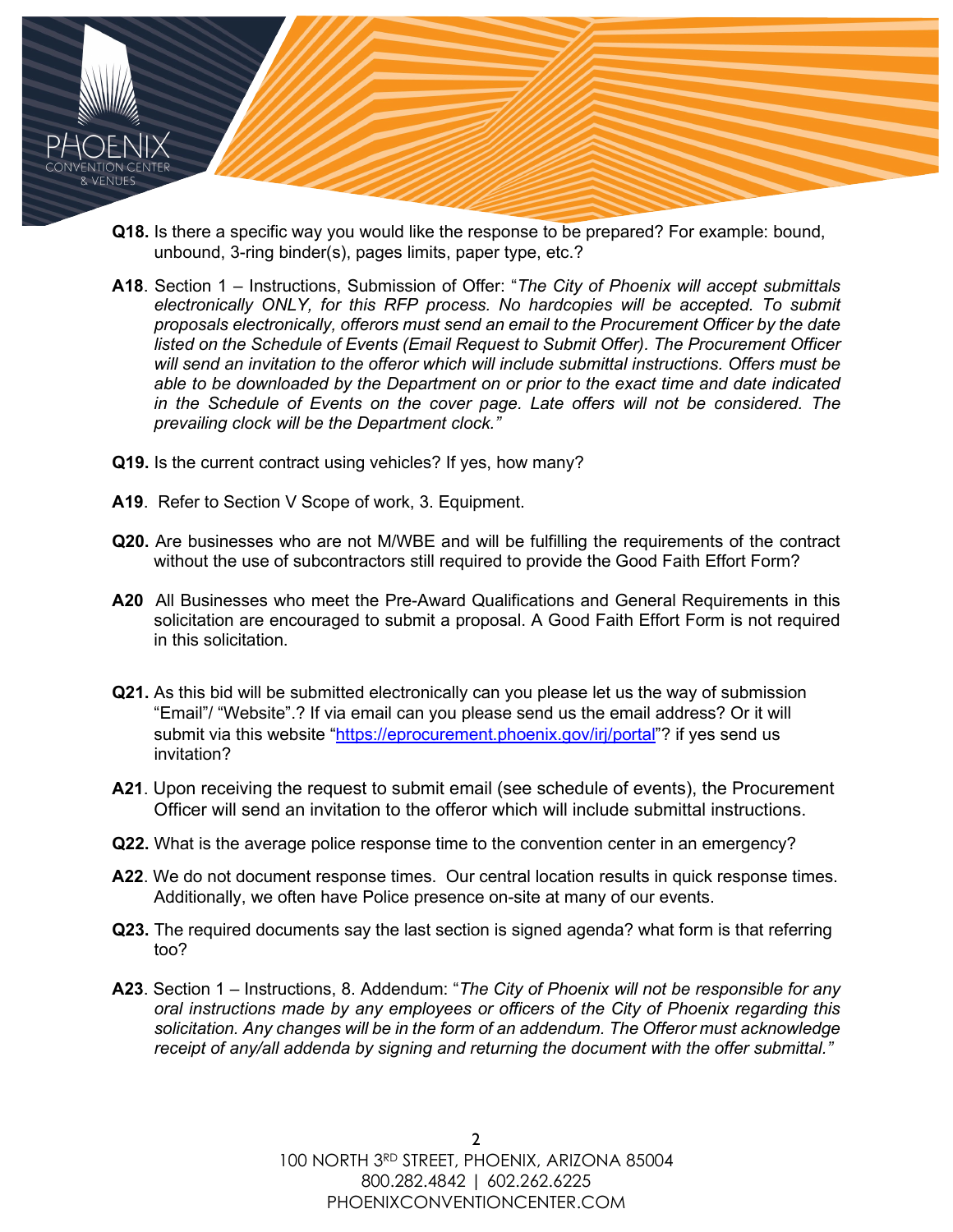

- **Q18.** Is there a specific way you would like the response to be prepared? For example: bound, unbound, 3-ring binder(s), pages limits, paper type, etc.?
- **A18**. Section 1 Instructions, Submission of Offer: "*The City of Phoenix will accept submittals*  electronically ONLY, for this RFP process. No hardcopies will be accepted. To submit *proposals electronically, offerors must send an email to the Procurement Officer by the date listed on the Schedule of Events (Email Request to Submit Offer). The Procurement Officer will send an invitation to the offeror which will include submittal instructions. Offers must be able to be downloaded by the Department on or prior to the exact time and date indicated in the Schedule of Events on the cover page. Late offers will not be considered. The prevailing clock will be the Department clock."*
- **Q19.** Is the current contract using vehicles? If yes, how many?
- **A19**. Refer to Section V Scope of work, 3. Equipment.
- **Q20.** Are businesses who are not M/WBE and will be fulfilling the requirements of the contract without the use of subcontractors still required to provide the Good Faith Effort Form?
- **A20** All Businesses who meet the Pre-Award Qualifications and General Requirements in this solicitation are encouraged to submit a proposal. A Good Faith Effort Form is not required in this solicitation.
- **Q21.** As this bid will be submitted electronically can you please let us the way of submission "Email"/ "Website".? If via email can you please send us the email address? Or it will submit via this website ["https://eprocurement.phoenix.gov/irj/portal"](https://eprocurement.phoenix.gov/irj/portal)? if yes send us invitation?
- **A21**. Upon receiving the request to submit email (see schedule of events), the Procurement Officer will send an invitation to the offeror which will include submittal instructions.
- **Q22.** What is the average police response time to the convention center in an emergency?
- **A22**. We do not document response times. Our central location results in quick response times. Additionally, we often have Police presence on-site at many of our events.
- **Q23.** The required documents say the last section is signed agenda? what form is that referring too?
- **A23**. Section 1 Instructions, 8. Addendum: "*The City of Phoenix will not be responsible for any oral instructions made by any employees or officers of the City of Phoenix regarding this solicitation. Any changes will be in the form of an addendum. The Offeror must acknowledge receipt of any/all addenda by signing and returning the document with the offer submittal."*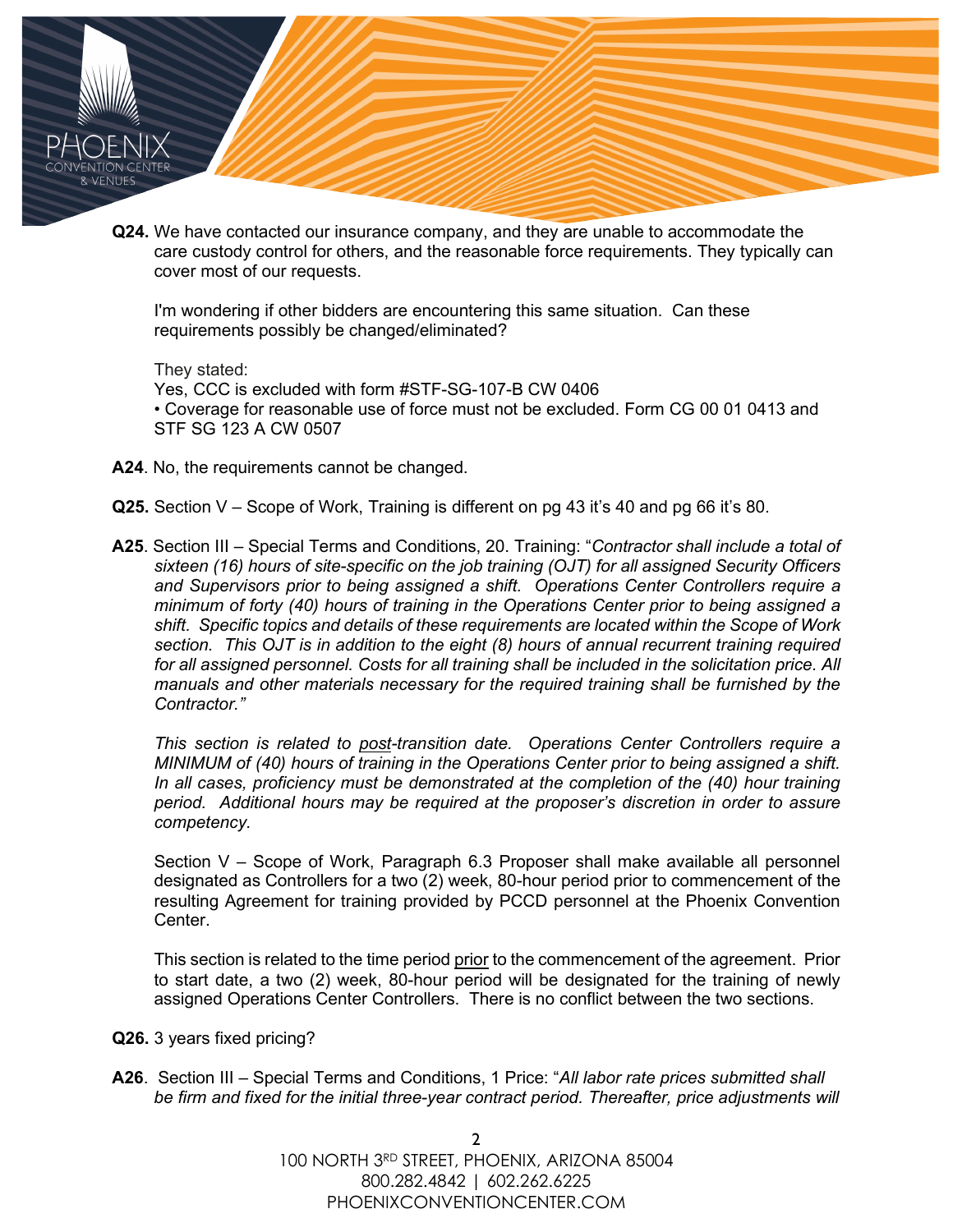- & VFNUF
	- **Q24.** We have contacted our insurance company, and they are unable to accommodate the care custody control for others, and the reasonable force requirements. They typically can cover most of our requests.

I'm wondering if other bidders are encountering this same situation. Can these requirements possibly be changed/eliminated?

They stated: Yes, CCC is excluded with form #STF-SG-107-B CW 0406 • Coverage for reasonable use of force must not be excluded. Form CG 00 01 0413 and STF SG 123 A CW 0507

- **A24**. No, the requirements cannot be changed.
- **Q25.** Section V Scope of Work, Training is different on pg 43 it's 40 and pg 66 it's 80.
- **A25**. Section III Special Terms and Conditions, 20. Training: "*Contractor shall include a total of sixteen (16) hours of site-specific on the job training (OJT) for all assigned Security Officers and Supervisors prior to being assigned a shift. Operations Center Controllers require a minimum of forty (40) hours of training in the Operations Center prior to being assigned a shift. Specific topics and details of these requirements are located within the Scope of Work section. This OJT is in addition to the eight (8) hours of annual recurrent training required for all assigned personnel. Costs for all training shall be included in the solicitation price. All manuals and other materials necessary for the required training shall be furnished by the Contractor."*

*This section is related to post-transition date. Operations Center Controllers require a MINIMUM of (40) hours of training in the Operations Center prior to being assigned a shift. In all cases, proficiency must be demonstrated at the completion of the (40) hour training period. Additional hours may be required at the proposer's discretion in order to assure competency.*

Section V – Scope of Work, Paragraph 6.3 Proposer shall make available all personnel designated as Controllers for a two (2) week, 80-hour period prior to commencement of the resulting Agreement for training provided by PCCD personnel at the Phoenix Convention Center.

This section is related to the time period prior to the commencement of the agreement. Prior to start date, a two (2) week, 80-hour period will be designated for the training of newly assigned Operations Center Controllers. There is no conflict between the two sections.

- **Q26.** 3 years fixed pricing?
- **A26**. Section III Special Terms and Conditions, 1 Price: "*All labor rate prices submitted shall*  be firm and fixed for the initial three-year contract period. Thereafter, price adjustments will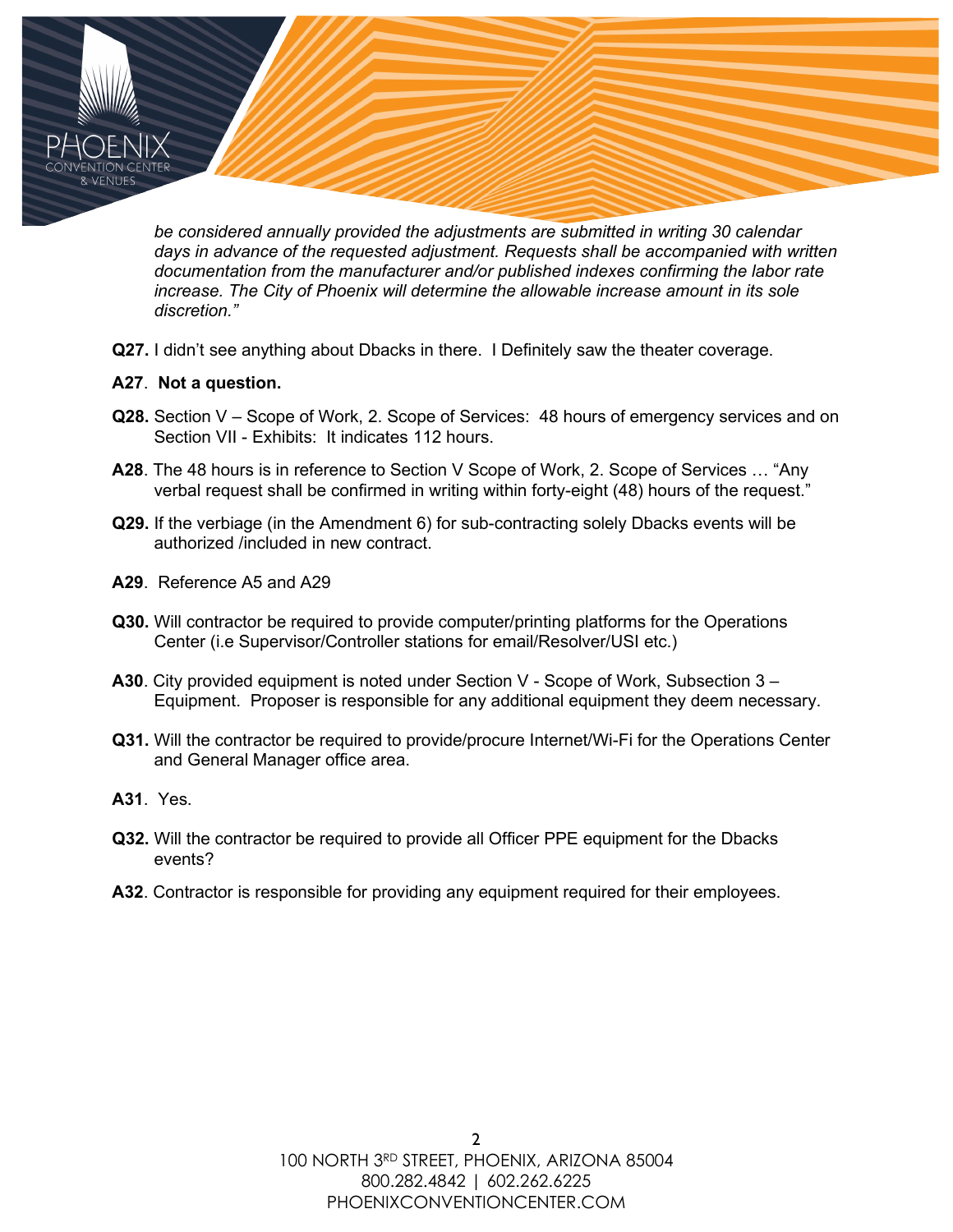*be considered annually provided the adjustments are submitted in writing 30 calendar days in advance of the requested adjustment. Requests shall be accompanied with written documentation from the manufacturer and/or published indexes confirming the labor rate increase. The City of Phoenix will determine the allowable increase amount in its sole discretion."*

**Q27.** I didn't see anything about Dbacks in there. I Definitely saw the theater coverage.

## **A27**. **Not a question.**

- **Q28.** Section V Scope of Work, 2. Scope of Services: 48 hours of emergency services and on Section VII - Exhibits: It indicates 112 hours.
- **A28**. The 48 hours is in reference to Section V Scope of Work, 2. Scope of Services … "Any verbal request shall be confirmed in writing within forty-eight (48) hours of the request."
- **Q29.** If the verbiage (in the Amendment 6) for sub-contracting solely Dbacks events will be authorized /included in new contract.
- **A29**. Reference A5 and A29
- **Q30.** Will contractor be required to provide computer/printing platforms for the Operations Center (i.e Supervisor/Controller stations for email/Resolver/USI etc.)
- **A30**. City provided equipment is noted under Section V Scope of Work, Subsection 3 Equipment. Proposer is responsible for any additional equipment they deem necessary.
- **Q31.** Will the contractor be required to provide/procure Internet/Wi-Fi for the Operations Center and General Manager office area.
- **A31**. Yes.
- **Q32.** Will the contractor be required to provide all Officer PPE equipment for the Dbacks events?
- **A32**. Contractor is responsible for providing any equipment required for their employees.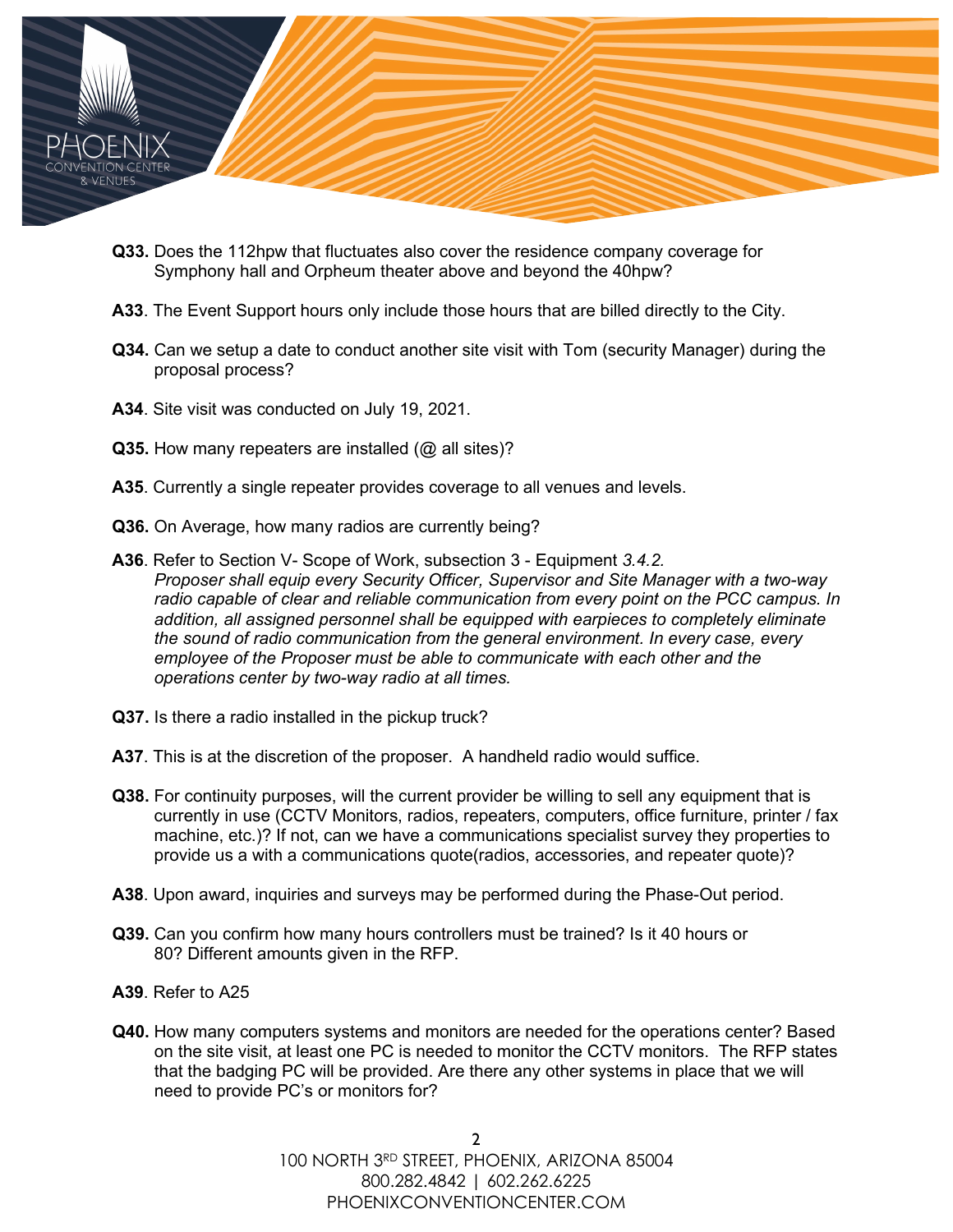

- **Q33.** Does the 112hpw that fluctuates also cover the residence company coverage for Symphony hall and Orpheum theater above and beyond the 40hpw?
- **A33**. The Event Support hours only include those hours that are billed directly to the City.
- **Q34.** Can we setup a date to conduct another site visit with Tom (security Manager) during the proposal process?
- **A34**. Site visit was conducted on July 19, 2021.
- **Q35.** How many repeaters are installed (@ all sites)?
- **A35**. Currently a single repeater provides coverage to all venues and levels.
- **Q36.** On Average, how many radios are currently being?
- **A36**. Refer to Section V- Scope of Work, subsection 3 Equipment *3.4.2. Proposer shall equip every Security Officer, Supervisor and Site Manager with a two-way radio capable of clear and reliable communication from every point on the PCC campus. In addition, all assigned personnel shall be equipped with earpieces to completely eliminate the sound of radio communication from the general environment. In every case, every employee of the Proposer must be able to communicate with each other and the operations center by two-way radio at all times.*
- **Q37.** Is there a radio installed in the pickup truck?
- **A37**. This is at the discretion of the proposer. A handheld radio would suffice.
- **Q38.** For continuity purposes, will the current provider be willing to sell any equipment that is currently in use (CCTV Monitors, radios, repeaters, computers, office furniture, printer / fax machine, etc.)? If not, can we have a communications specialist survey they properties to provide us a with a communications quote(radios, accessories, and repeater quote)?
- **A38**. Upon award, inquiries and surveys may be performed during the Phase-Out period.
- **Q39.** Can you confirm how many hours controllers must be trained? Is it 40 hours or 80? Different amounts given in the RFP.
- **A39**. Refer to A25
- **Q40.** How many computers systems and monitors are needed for the operations center? Based on the site visit, at least one PC is needed to monitor the CCTV monitors. The RFP states that the badging PC will be provided. Are there any other systems in place that we will need to provide PC's or monitors for?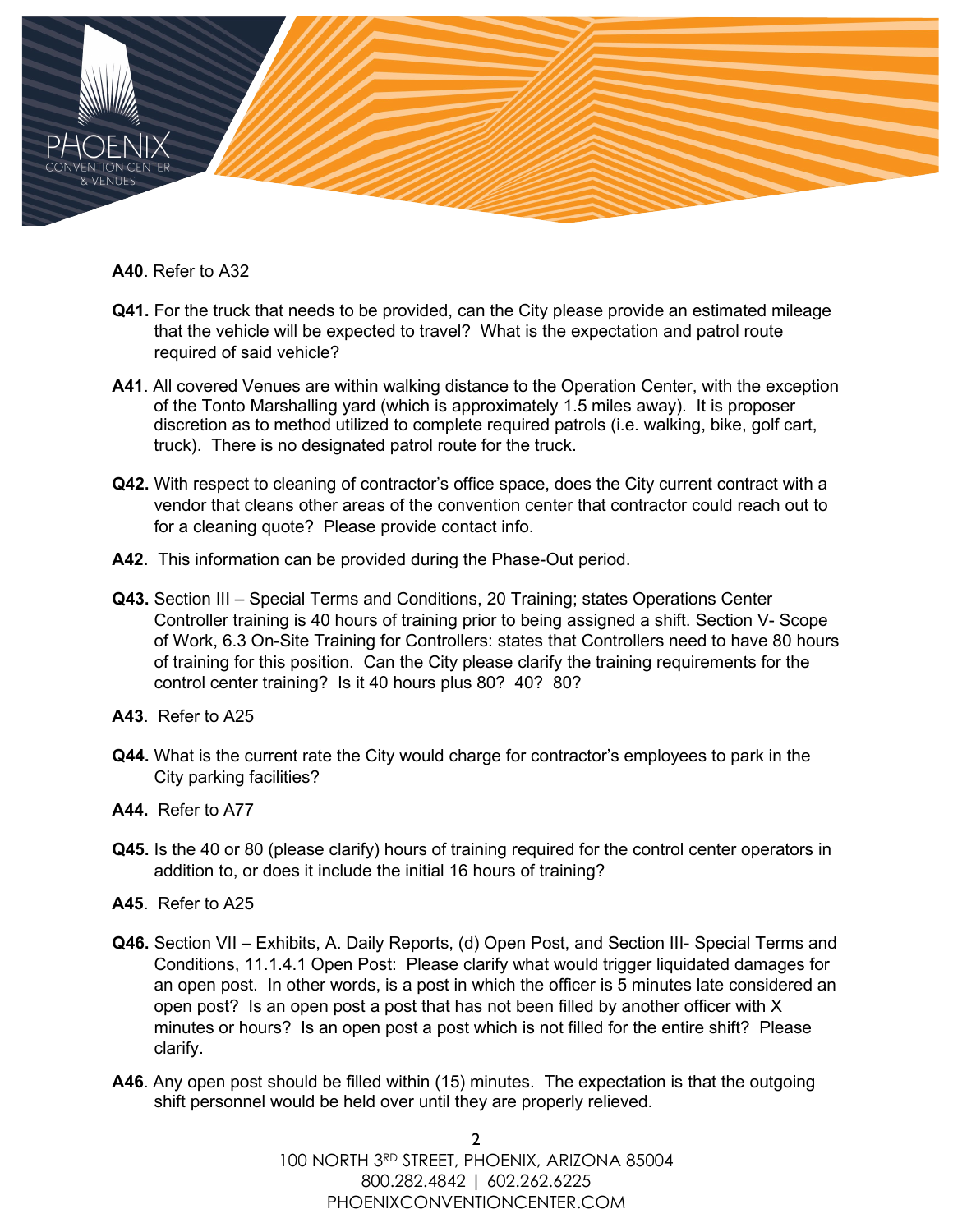

**A40**. Refer to A32

- **Q41.** For the truck that needs to be provided, can the City please provide an estimated mileage that the vehicle will be expected to travel? What is the expectation and patrol route required of said vehicle?
- **A41**. All covered Venues are within walking distance to the Operation Center, with the exception of the Tonto Marshalling yard (which is approximately 1.5 miles away). It is proposer discretion as to method utilized to complete required patrols (i.e. walking, bike, golf cart, truck). There is no designated patrol route for the truck.
- **Q42.** With respect to cleaning of contractor's office space, does the City current contract with a vendor that cleans other areas of the convention center that contractor could reach out to for a cleaning quote? Please provide contact info.
- **A42**. This information can be provided during the Phase-Out period.
- **Q43.** Section III Special Terms and Conditions, 20 Training; states Operations Center Controller training is 40 hours of training prior to being assigned a shift. Section V- Scope of Work, 6.3 On-Site Training for Controllers: states that Controllers need to have 80 hours of training for this position. Can the City please clarify the training requirements for the control center training? Is it 40 hours plus 80? 40? 80?
- **A43**. Refer to A25
- **Q44.** What is the current rate the City would charge for contractor's employees to park in the City parking facilities?
- **A44.** Refer to A77
- **Q45.** Is the 40 or 80 (please clarify) hours of training required for the control center operators in addition to, or does it include the initial 16 hours of training?
- **A45**. Refer to A25
- **Q46.** Section VII Exhibits, A. Daily Reports, (d) Open Post, and Section III- Special Terms and Conditions, 11.1.4.1 Open Post: Please clarify what would trigger liquidated damages for an open post. In other words, is a post in which the officer is 5 minutes late considered an open post? Is an open post a post that has not been filled by another officer with X minutes or hours? Is an open post a post which is not filled for the entire shift? Please clarify.
- **A46**. Any open post should be filled within (15) minutes. The expectation is that the outgoing shift personnel would be held over until they are properly relieved.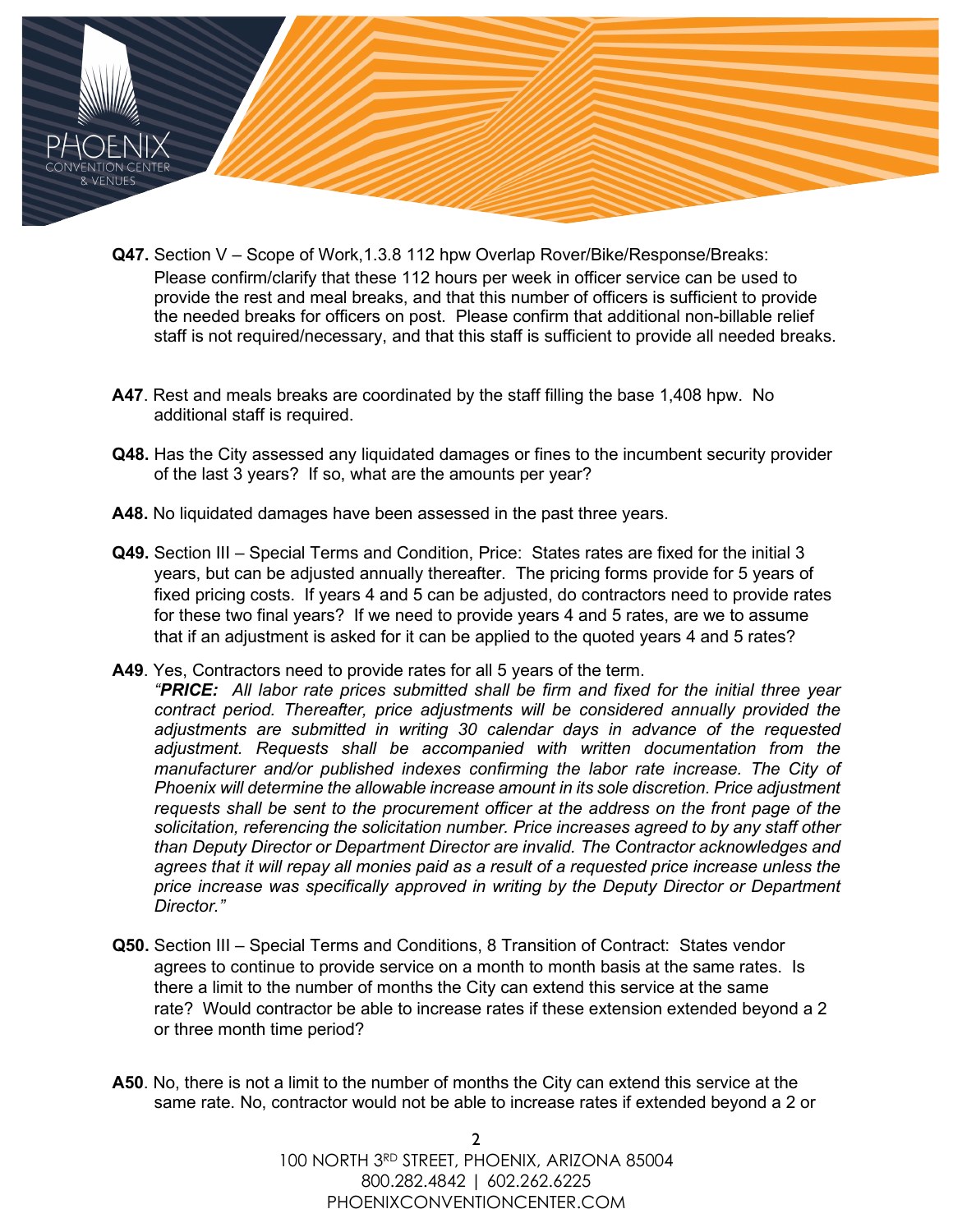

- **Q47.** Section V Scope of Work,1.3.8 112 hpw Overlap Rover/Bike/Response/Breaks: Please confirm/clarify that these 112 hours per week in officer service can be used to provide the rest and meal breaks, and that this number of officers is sufficient to provide the needed breaks for officers on post. Please confirm that additional non-billable relief staff is not required/necessary, and that this staff is sufficient to provide all needed breaks.
- **A47**. Rest and meals breaks are coordinated by the staff filling the base 1,408 hpw. No additional staff is required.
- **Q48.** Has the City assessed any liquidated damages or fines to the incumbent security provider of the last 3 years? If so, what are the amounts per year?
- **A48.** No liquidated damages have been assessed in the past three years.
- **Q49.** Section III Special Terms and Condition, Price: States rates are fixed for the initial 3 years, but can be adjusted annually thereafter. The pricing forms provide for 5 years of fixed pricing costs. If years 4 and 5 can be adjusted, do contractors need to provide rates for these two final years? If we need to provide years 4 and 5 rates, are we to assume that if an adjustment is asked for it can be applied to the quoted years 4 and 5 rates?
- **A49**. Yes, Contractors need to provide rates for all 5 years of the term.
	- *"PRICE: All labor rate prices submitted shall be firm and fixed for the initial three year contract period. Thereafter, price adjustments will be considered annually provided the adjustments are submitted in writing 30 calendar days in advance of the requested adjustment. Requests shall be accompanied with written documentation from the manufacturer and/or published indexes confirming the labor rate increase. The City of Phoenix will determine the allowable increase amount in its sole discretion. Price adjustment requests shall be sent to the procurement officer at the address on the front page of the solicitation, referencing the solicitation number. Price increases agreed to by any staff other than Deputy Director or Department Director are invalid. The Contractor acknowledges and agrees that it will repay all monies paid as a result of a requested price increase unless the price increase was specifically approved in writing by the Deputy Director or Department Director."*
- **Q50.** Section III Special Terms and Conditions, 8 Transition of Contract: States vendor agrees to continue to provide service on a month to month basis at the same rates. Is there a limit to the number of months the City can extend this service at the same rate? Would contractor be able to increase rates if these extension extended beyond a 2 or three month time period?
- **A50**. No, there is not a limit to the number of months the City can extend this service at the same rate. No, contractor would not be able to increase rates if extended beyond a 2 or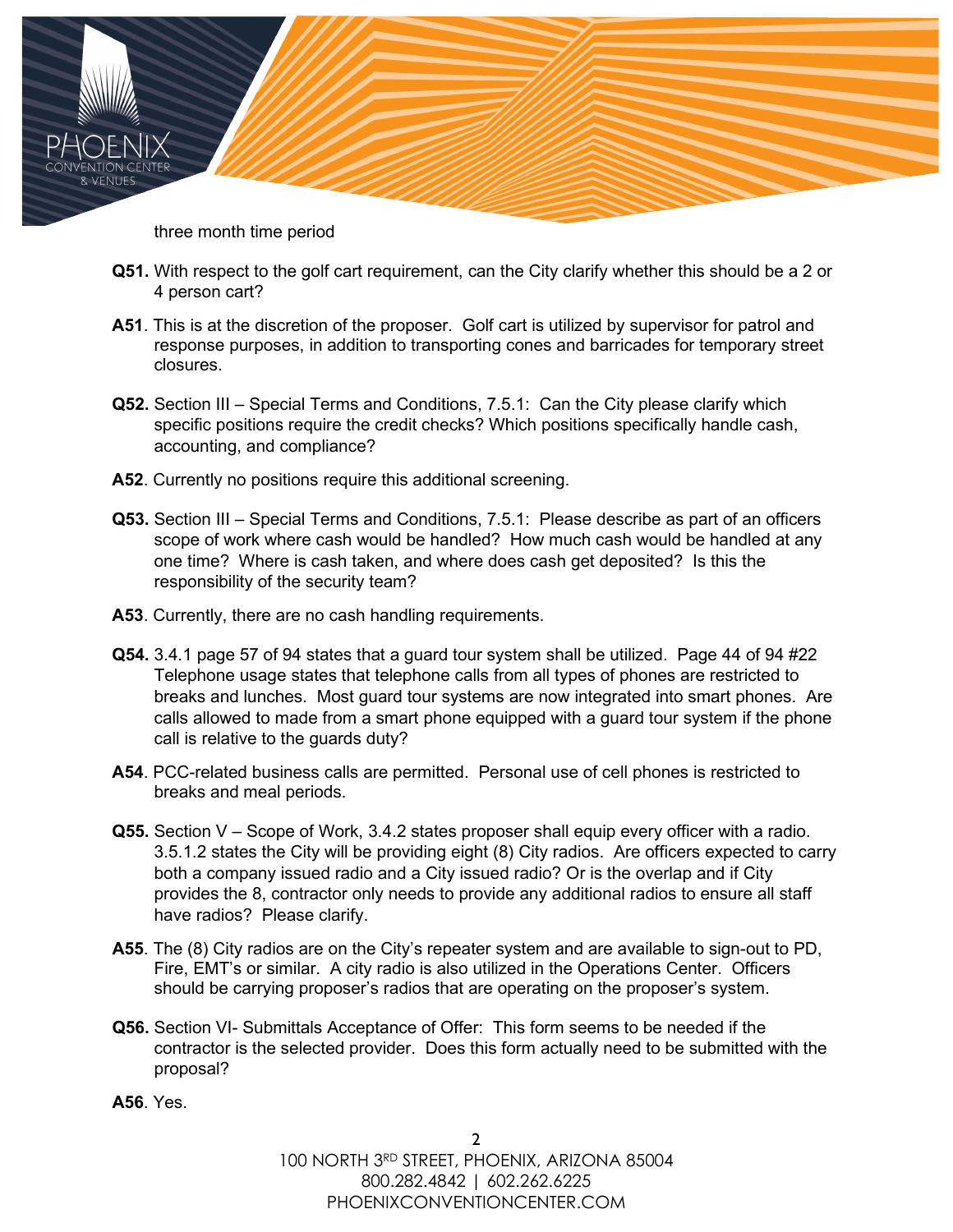three month time period

- **Q51.** With respect to the golf cart requirement, can the City clarify whether this should be a 2 or 4 person cart?
- **A51**. This is at the discretion of the proposer. Golf cart is utilized by supervisor for patrol and response purposes, in addition to transporting cones and barricades for temporary street closures.
- **Q52.** Section III Special Terms and Conditions, 7.5.1: Can the City please clarify which specific positions require the credit checks? Which positions specifically handle cash, accounting, and compliance?
- **A52**. Currently no positions require this additional screening.
- **Q53.** Section III Special Terms and Conditions, 7.5.1: Please describe as part of an officers scope of work where cash would be handled? How much cash would be handled at any one time? Where is cash taken, and where does cash get deposited? Is this the responsibility of the security team?
- **A53**. Currently, there are no cash handling requirements.
- **Q54.** 3.4.1 page 57 of 94 states that a guard tour system shall be utilized. Page 44 of 94 #22 Telephone usage states that telephone calls from all types of phones are restricted to breaks and lunches. Most guard tour systems are now integrated into smart phones. Are calls allowed to made from a smart phone equipped with a guard tour system if the phone call is relative to the guards duty?
- **A54**. PCC-related business calls are permitted. Personal use of cell phones is restricted to breaks and meal periods.
- **Q55.** Section V Scope of Work, 3.4.2 states proposer shall equip every officer with a radio. 3.5.1.2 states the City will be providing eight (8) City radios. Are officers expected to carry both a company issued radio and a City issued radio? Or is the overlap and if City provides the 8, contractor only needs to provide any additional radios to ensure all staff have radios? Please clarify.
- **A55**. The (8) City radios are on the City's repeater system and are available to sign-out to PD, Fire, EMT's or similar. A city radio is also utilized in the Operations Center. Officers should be carrying proposer's radios that are operating on the proposer's system.
- **Q56.** Section VI- Submittals Acceptance of Offer: This form seems to be needed if the contractor is the selected provider. Does this form actually need to be submitted with the proposal?
- **A56**. Yes.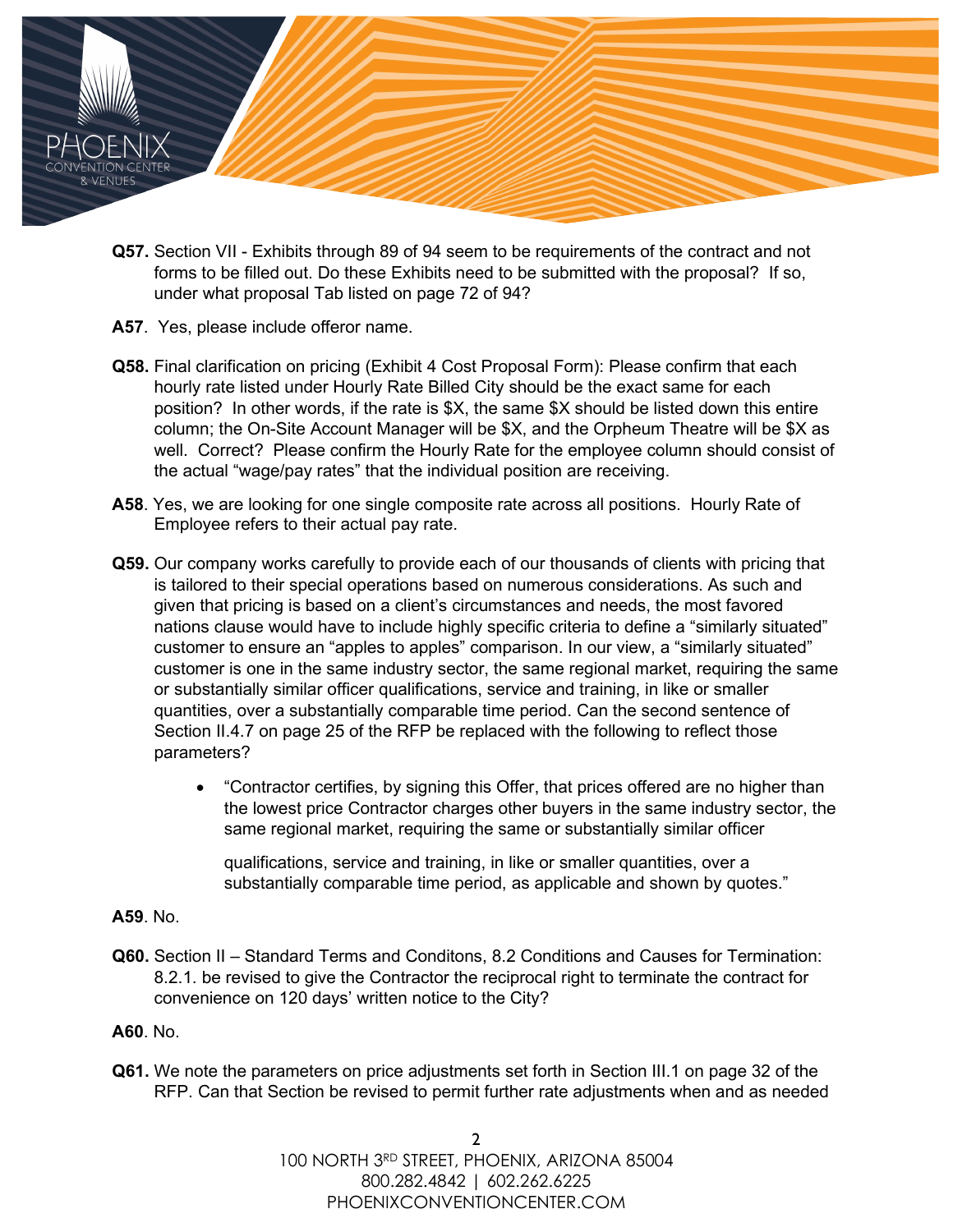

- **Q57.** Section VII Exhibits through 89 of 94 seem to be requirements of the contract and not forms to be filled out. Do these Exhibits need to be submitted with the proposal? If so, under what proposal Tab listed on page 72 of 94?
- **A57**. Yes, please include offeror name.
- **Q58.** Final clarification on pricing (Exhibit 4 Cost Proposal Form): Please confirm that each hourly rate listed under Hourly Rate Billed City should be the exact same for each position? In other words, if the rate is \$X, the same \$X should be listed down this entire column; the On-Site Account Manager will be \$X, and the Orpheum Theatre will be \$X as well. Correct? Please confirm the Hourly Rate for the employee column should consist of the actual "wage/pay rates" that the individual position are receiving.
- **A58**. Yes, we are looking for one single composite rate across all positions. Hourly Rate of Employee refers to their actual pay rate.
- **Q59.** Our company works carefully to provide each of our thousands of clients with pricing that is tailored to their special operations based on numerous considerations. As such and given that pricing is based on a client's circumstances and needs, the most favored nations clause would have to include highly specific criteria to define a "similarly situated" customer to ensure an "apples to apples" comparison. In our view, a "similarly situated" customer is one in the same industry sector, the same regional market, requiring the same or substantially similar officer qualifications, service and training, in like or smaller quantities, over a substantially comparable time period. Can the second sentence of Section II.4.7 on page 25 of the RFP be replaced with the following to reflect those parameters?
	- "Contractor certifies, by signing this Offer, that prices offered are no higher than the lowest price Contractor charges other buyers in the same industry sector, the same regional market, requiring the same or substantially similar officer

qualifications, service and training, in like or smaller quantities, over a substantially comparable time period, as applicable and shown by quotes."

## **A59**. No.

**Q60.** Section II – Standard Terms and Conditons, 8.2 Conditions and Causes for Termination: 8.2.1. be revised to give the Contractor the reciprocal right to terminate the contract for convenience on 120 days' written notice to the City?

## **A60**. No.

**Q61.** We note the parameters on price adjustments set forth in Section III.1 on page 32 of the RFP. Can that Section be revised to permit further rate adjustments when and as needed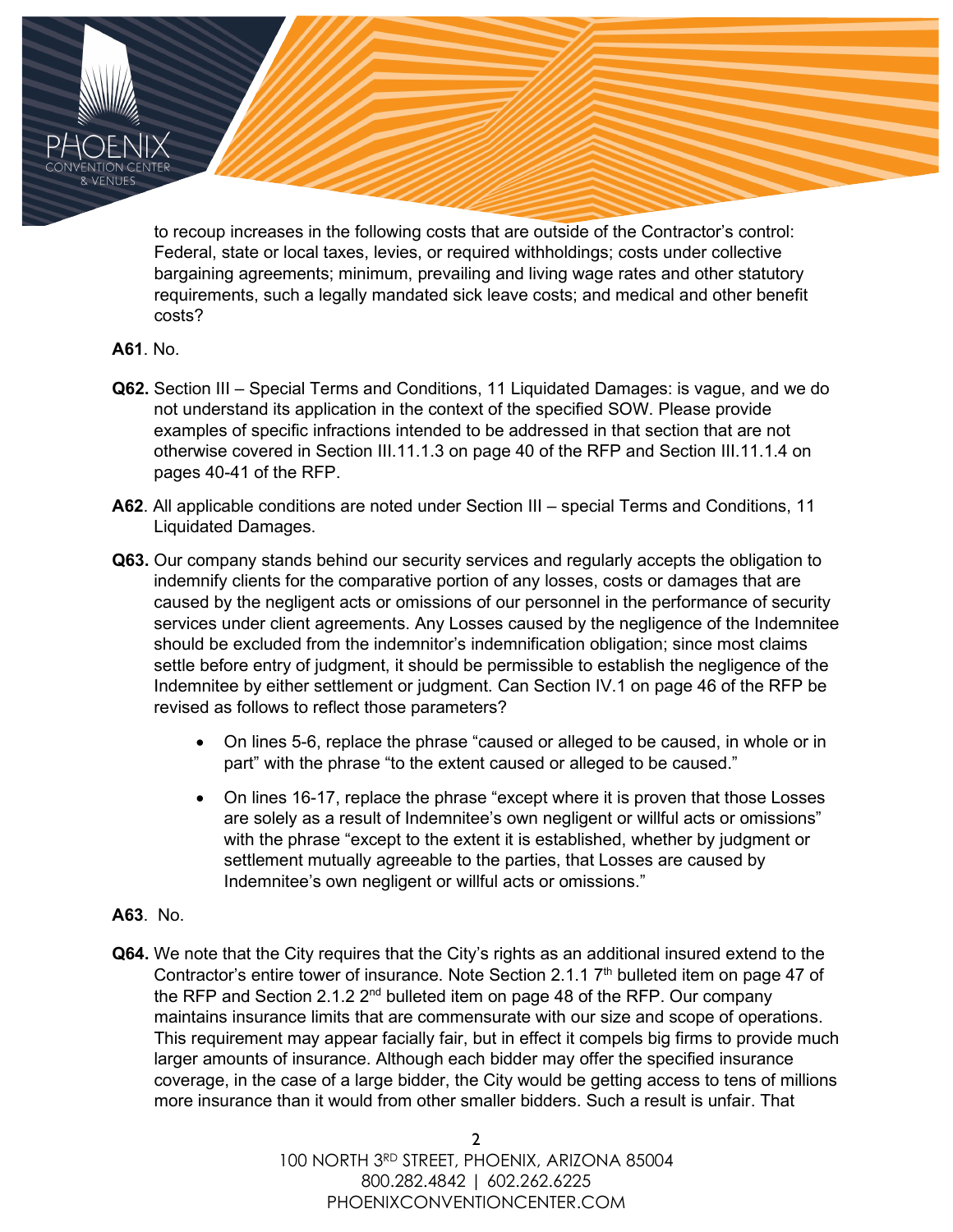to recoup increases in the following costs that are outside of the Contractor's control: Federal, state or local taxes, levies, or required withholdings; costs under collective bargaining agreements; minimum, prevailing and living wage rates and other statutory requirements, such a legally mandated sick leave costs; and medical and other benefit costs?

## **A61**. No.

- **Q62.** Section III Special Terms and Conditions, 11 Liquidated Damages: is vague, and we do not understand its application in the context of the specified SOW. Please provide examples of specific infractions intended to be addressed in that section that are not otherwise covered in Section III.11.1.3 on page 40 of the RFP and Section III.11.1.4 on pages 40-41 of the RFP.
- **A62**. All applicable conditions are noted under Section III special Terms and Conditions, 11 Liquidated Damages.
- **Q63.** Our company stands behind our security services and regularly accepts the obligation to indemnify clients for the comparative portion of any losses, costs or damages that are caused by the negligent acts or omissions of our personnel in the performance of security services under client agreements. Any Losses caused by the negligence of the Indemnitee should be excluded from the indemnitor's indemnification obligation; since most claims settle before entry of judgment, it should be permissible to establish the negligence of the Indemnitee by either settlement or judgment. Can Section IV.1 on page 46 of the RFP be revised as follows to reflect those parameters?
	- On lines 5-6, replace the phrase "caused or alleged to be caused, in whole or in part" with the phrase "to the extent caused or alleged to be caused."
	- On lines 16-17, replace the phrase "except where it is proven that those Losses are solely as a result of Indemnitee's own negligent or willful acts or omissions" with the phrase "except to the extent it is established, whether by judgment or settlement mutually agreeable to the parties, that Losses are caused by Indemnitee's own negligent or willful acts or omissions."
- **A63**. No.
- **Q64.** We note that the City requires that the City's rights as an additional insured extend to the Contractor's entire tower of insurance. Note Section 2.1.1 7<sup>th</sup> bulleted item on page 47 of the RFP and Section 2.1.2  $2^{nd}$  bulleted item on page 48 of the RFP. Our company maintains insurance limits that are commensurate with our size and scope of operations. This requirement may appear facially fair, but in effect it compels big firms to provide much larger amounts of insurance. Although each bidder may offer the specified insurance coverage, in the case of a large bidder, the City would be getting access to tens of millions more insurance than it would from other smaller bidders. Such a result is unfair. That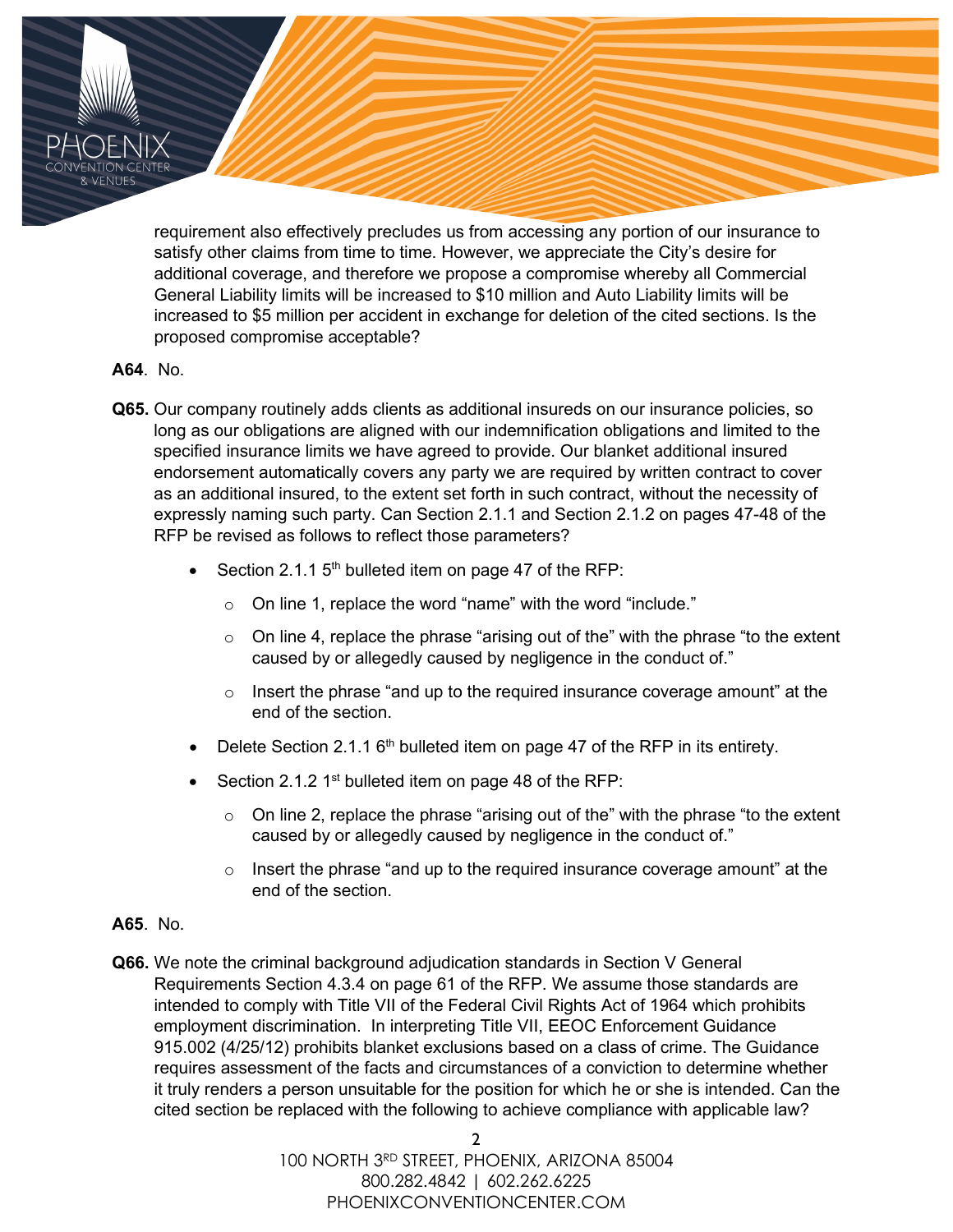requirement also effectively precludes us from accessing any portion of our insurance to satisfy other claims from time to time. However, we appreciate the City's desire for additional coverage, and therefore we propose a compromise whereby all Commercial General Liability limits will be increased to \$10 million and Auto Liability limits will be increased to \$5 million per accident in exchange for deletion of the cited sections. Is the proposed compromise acceptable?

## **A64**. No.

- **Q65.** Our company routinely adds clients as additional insureds on our insurance policies, so long as our obligations are aligned with our indemnification obligations and limited to the specified insurance limits we have agreed to provide. Our blanket additional insured endorsement automatically covers any party we are required by written contract to cover as an additional insured, to the extent set forth in such contract, without the necessity of expressly naming such party. Can Section 2.1.1 and Section 2.1.2 on pages 47-48 of the RFP be revised as follows to reflect those parameters?
	- Section 2.1.1  $5<sup>th</sup>$  bulleted item on page 47 of the RFP:
		- $\circ$  On line 1, replace the word "name" with the word "include."
		- $\circ$  On line 4, replace the phrase "arising out of the" with the phrase "to the extent caused by or allegedly caused by negligence in the conduct of."
		- $\circ$  Insert the phrase "and up to the required insurance coverage amount" at the end of the section.
	- Delete Section 2.1.1  $6<sup>th</sup>$  bulleted item on page 47 of the RFP in its entirety.
	- Section 2.1.2 1<sup>st</sup> bulleted item on page 48 of the RFP:
		- $\circ$  On line 2, replace the phrase "arising out of the" with the phrase "to the extent caused by or allegedly caused by negligence in the conduct of."
		- $\circ$  Insert the phrase "and up to the required insurance coverage amount" at the end of the section.
- **A65**. No.
- **Q66.** We note the criminal background adjudication standards in Section V General Requirements Section 4.3.4 on page 61 of the RFP. We assume those standards are intended to comply with Title VII of the Federal Civil Rights Act of 1964 which prohibits employment discrimination. In interpreting Title VII, EEOC Enforcement Guidance 915.002 (4/25/12) prohibits blanket exclusions based on a class of crime. The Guidance requires assessment of the facts and circumstances of a conviction to determine whether it truly renders a person unsuitable for the position for which he or she is intended. Can the cited section be replaced with the following to achieve compliance with applicable law?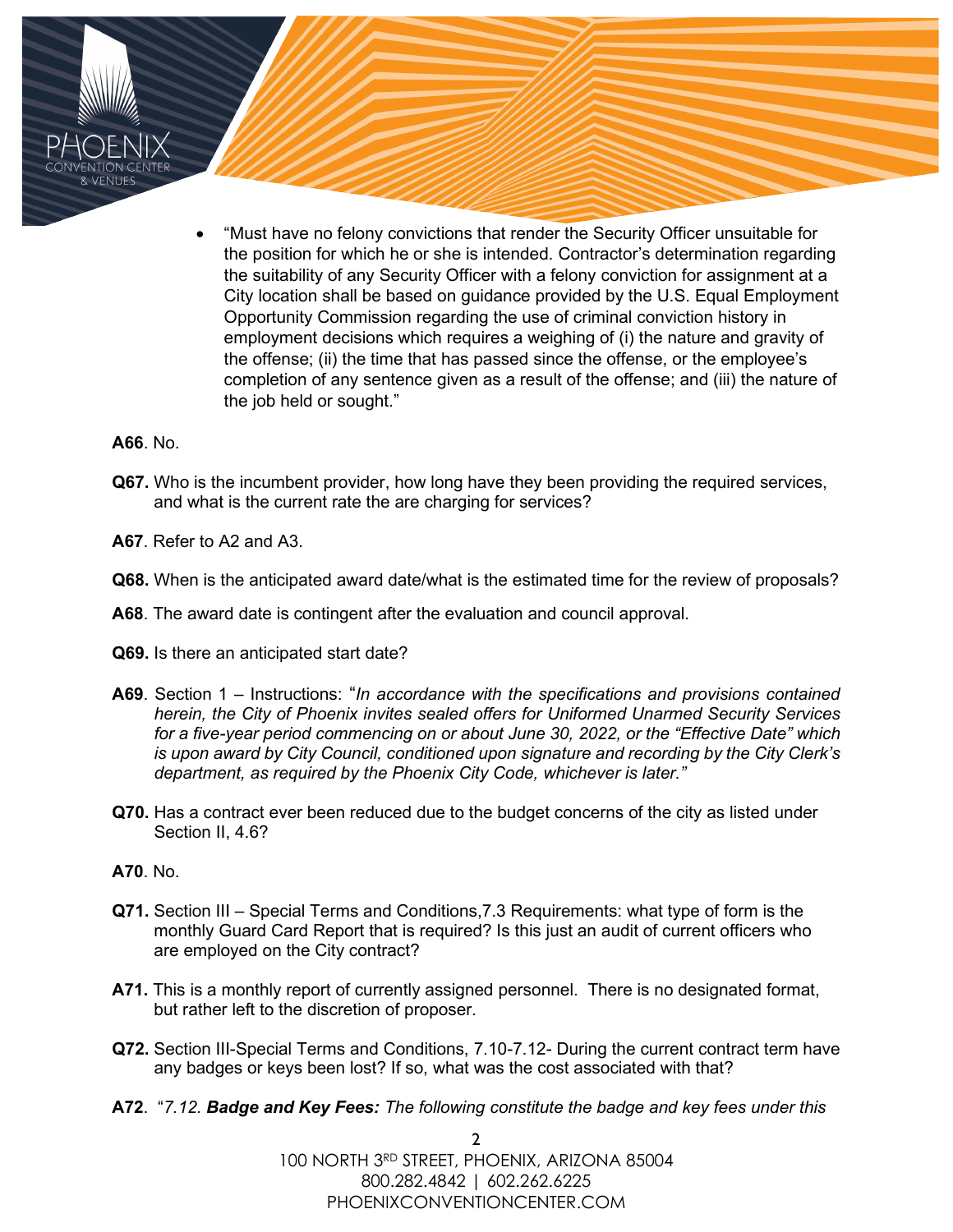• "Must have no felony convictions that render the Security Officer unsuitable for the position for which he or she is intended. Contractor's determination regarding the suitability of any Security Officer with a felony conviction for assignment at a City location shall be based on guidance provided by the U.S. Equal Employment Opportunity Commission regarding the use of criminal conviction history in employment decisions which requires a weighing of (i) the nature and gravity of the offense; (ii) the time that has passed since the offense, or the employee's completion of any sentence given as a result of the offense; and (iii) the nature of the job held or sought."

#### **A66**. No.

- **Q67.** Who is the incumbent provider, how long have they been providing the required services, and what is the current rate the are charging for services?
- **A67**. Refer to A2 and A3.
- **Q68.** When is the anticipated award date/what is the estimated time for the review of proposals?
- **A68**. The award date is contingent after the evaluation and council approval.
- **Q69.** Is there an anticipated start date?
- **A69**. Section 1 Instructions: "*In accordance with the specifications and provisions contained herein, the City of Phoenix invites sealed offers for Uniformed Unarmed Security Services for a five-year period commencing on or about June 30, 2022, or the "Effective Date" which is upon award by City Council, conditioned upon signature and recording by the City Clerk's department, as required by the Phoenix City Code, whichever is later."*
- **Q70.** Has a contract ever been reduced due to the budget concerns of the city as listed under Section II, 4.6?
- **A70**. No.
- **Q71.** Section III Special Terms and Conditions,7.3 Requirements: what type of form is the monthly Guard Card Report that is required? Is this just an audit of current officers who are employed on the City contract?
- **A71.** This is a monthly report of currently assigned personnel. There is no designated format, but rather left to the discretion of proposer.
- **Q72.** Section III-Special Terms and Conditions, 7.10-7.12- During the current contract term have any badges or keys been lost? If so, what was the cost associated with that?
- **A72**. "*7.12. Badge and Key Fees: The following constitute the badge and key fees under this*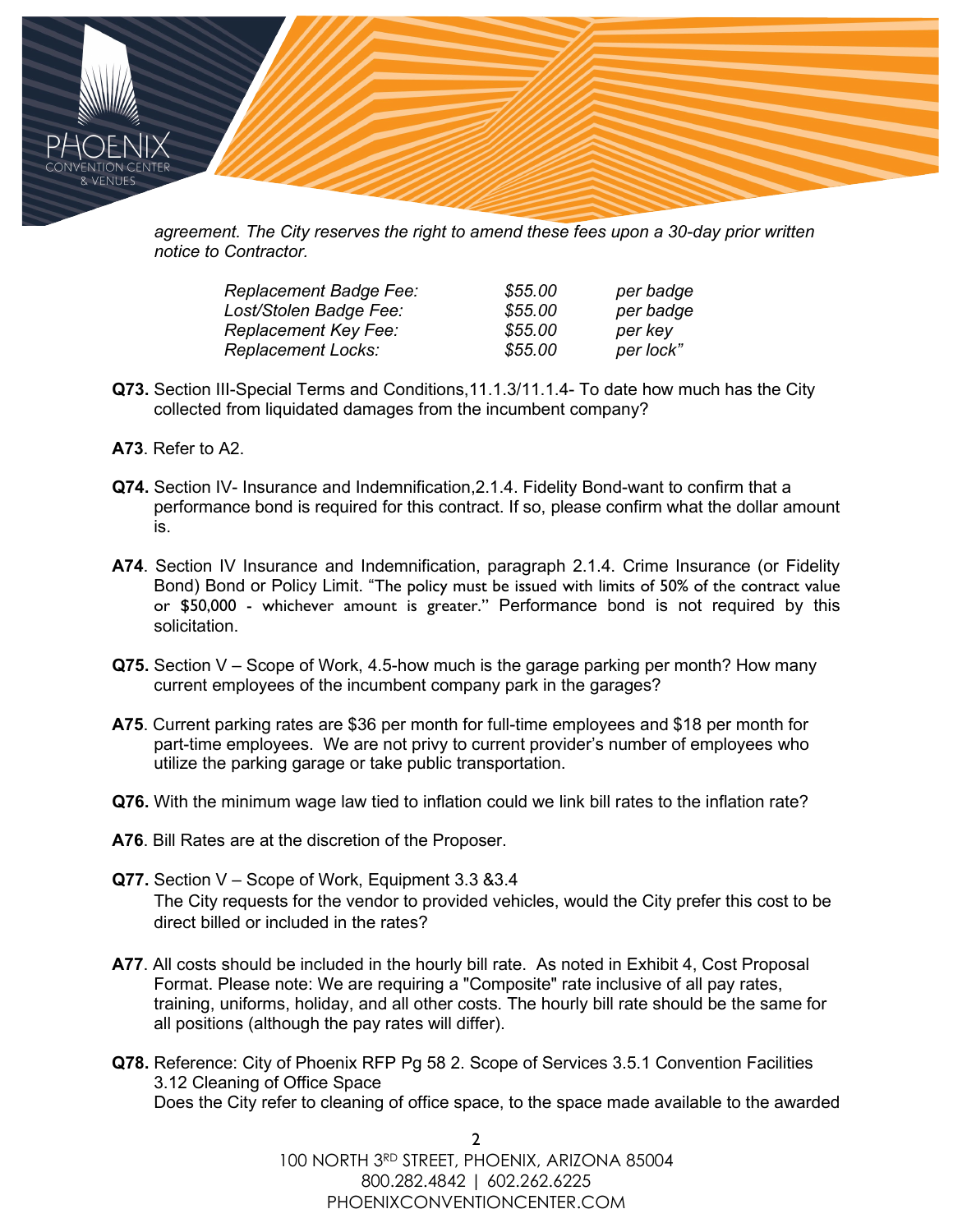

*agreement. The City reserves the right to amend these fees upon a 30-day prior written notice to Contractor.*

| <b>Replacement Badge Fee:</b> | \$55.00 | per badge |
|-------------------------------|---------|-----------|
| Lost/Stolen Badge Fee:        | \$55.00 | per badge |
| <b>Replacement Key Fee:</b>   | \$55.00 | per key   |
| <b>Replacement Locks:</b>     | \$55.00 | per lock" |

- **Q73.** Section III-Special Terms and Conditions,11.1.3/11.1.4- To date how much has the City collected from liquidated damages from the incumbent company?
- **A73**. Refer to A2.
- **Q74.** Section IV- Insurance and Indemnification,2.1.4. Fidelity Bond-want to confirm that a performance bond is required for this contract. If so, please confirm what the dollar amount is.
- **A74**. Section IV Insurance and Indemnification, paragraph 2.1.4. Crime Insurance (or Fidelity Bond) Bond or Policy Limit. "The policy must be issued with limits of 50% of the contract value or \$50,000 - whichever amount is greater." Performance bond is not required by this solicitation.
- **Q75.** Section V Scope of Work, 4.5-how much is the garage parking per month? How many current employees of the incumbent company park in the garages?
- **A75**. Current parking rates are \$36 per month for full-time employees and \$18 per month for part-time employees. We are not privy to current provider's number of employees who utilize the parking garage or take public transportation.
- **Q76.** With the minimum wage law tied to inflation could we link bill rates to the inflation rate?
- **A76**. Bill Rates are at the discretion of the Proposer.
- **Q77.** Section V Scope of Work, Equipment 3.3 &3.4 The City requests for the vendor to provided vehicles, would the City prefer this cost to be direct billed or included in the rates?
- **A77**. All costs should be included in the hourly bill rate. As noted in Exhibit 4, Cost Proposal Format. Please note: We are requiring a "Composite" rate inclusive of all pay rates, training, uniforms, holiday, and all other costs. The hourly bill rate should be the same for all positions (although the pay rates will differ).
- **Q78.** Reference: City of Phoenix RFP Pg 58 2. Scope of Services 3.5.1 Convention Facilities 3.12 Cleaning of Office Space Does the City refer to cleaning of office space, to the space made available to the awarded

2